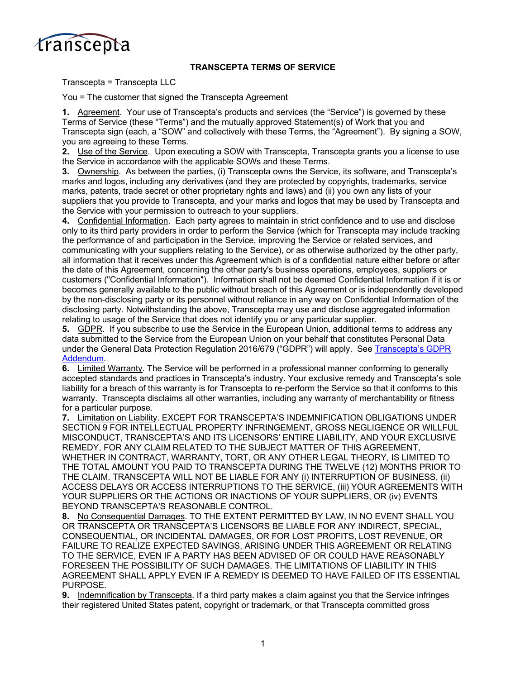

## **TRANSCEPTA TERMS OF SERVICE**

Transcepta = Transcepta LLC

You = The customer that signed the Transcepta Agreement

**1.** Agreement. Your use of Transcepta's products and services (the "Service") is governed by these Terms of Service (these "Terms") and the mutually approved Statement(s) of Work that you and Transcepta sign (each, a "SOW" and collectively with these Terms, the "Agreement"). By signing a SOW, you are agreeing to these Terms.

**2.** Use of the Service. Upon executing a SOW with Transcepta, Transcepta grants you a license to use the Service in accordance with the applicable SOWs and these Terms.

**3.** Ownership. As between the parties, (i) Transcepta owns the Service, its software, and Transcepta's marks and logos, including any derivatives (and they are protected by copyrights, trademarks, service marks, patents, trade secret or other proprietary rights and laws) and (ii) you own any lists of your suppliers that you provide to Transcepta, and your marks and logos that may be used by Transcepta and the Service with your permission to outreach to your suppliers.

**4.** Confidential Information. Each party agrees to maintain in strict confidence and to use and disclose only to its third party providers in order to perform the Service (which for Transcepta may include tracking the performance of and participation in the Service, improving the Service or related services, and communicating with your suppliers relating to the Service), or as otherwise authorized by the other party, all information that it receives under this Agreement which is of a confidential nature either before or after the date of this Agreement, concerning the other party's business operations, employees, suppliers or customers ("Confidential Information"). Information shall not be deemed Confidential Information if it is or becomes generally available to the public without breach of this Agreement or is independently developed by the non-disclosing party or its personnel without reliance in any way on Confidential Information of the disclosing party. Notwithstanding the above, Transcepta may use and disclose aggregated information relating to usage of the Service that does not identify you or any particular supplier.

**5.** GDPR. If you subscribe to use the Service in the European Union, additional terms to address any data submitted to the Service from the European Union on your behalf that constitutes Personal Data under the General Data Protection Regulation 2016/679 ("GDPR") will apply. See Transcepta's GDPR [Addendum.](https://www.transcepta.com/wp-content/uploads/2022/05/Transcepta-GDPR-Addendum-1-26-21.pdf)

**6.** Limited Warranty. The Service will be performed in a professional manner conforming to generally accepted standards and practices in Transcepta's industry. Your exclusive remedy and Transcepta's sole liability for a breach of this warranty is for Transcepta to re-perform the Service so that it conforms to this warranty. Transcepta disclaims all other warranties, including any warranty of merchantability or fitness for a particular purpose.

**7.** Limitation on Liability. EXCEPT FOR TRANSCEPTA'S INDEMNIFICATION OBLIGATIONS UNDER SECTION 9 FOR INTELLECTUAL PROPERTY INFRINGEMENT, GROSS NEGLIGENCE OR WILLFUL MISCONDUCT, TRANSCEPTA'S AND ITS LICENSORS' ENTIRE LIABILITY, AND YOUR EXCLUSIVE REMEDY, FOR ANY CLAIM RELATED TO THE SUBJECT MATTER OF THIS AGREEMENT, WHETHER IN CONTRACT, WARRANTY, TORT, OR ANY OTHER LEGAL THEORY, IS LIMITED TO THE TOTAL AMOUNT YOU PAID TO TRANSCEPTA DURING THE TWELVE (12) MONTHS PRIOR TO THE CLAIM. TRANSCEPTA WILL NOT BE LIABLE FOR ANY (i) INTERRUPTION OF BUSINESS, (ii) ACCESS DELAYS OR ACCESS INTERRUPTIONS TO THE SERVICE, (iii) YOUR AGREEMENTS WITH YOUR SUPPLIERS OR THE ACTIONS OR INACTIONS OF YOUR SUPPLIERS, OR (iv) EVENTS BEYOND TRANSCEPTA'S REASONABLE CONTROL.

**8.** No Consequential Damages. TO THE EXTENT PERMITTED BY LAW, IN NO EVENT SHALL YOU OR TRANSCEPTA OR TRANSCEPTA'S LICENSORS BE LIABLE FOR ANY INDIRECT, SPECIAL, CONSEQUENTIAL, OR INCIDENTAL DAMAGES, OR FOR LOST PROFITS, LOST REVENUE, OR FAILURE TO REALIZE EXPECTED SAVINGS, ARISING UNDER THIS AGREEMENT OR RELATING TO THE SERVICE, EVEN IF A PARTY HAS BEEN ADVISED OF OR COULD HAVE REASONABLY FORESEEN THE POSSIBILITY OF SUCH DAMAGES. THE LIMITATIONS OF LIABILITY IN THIS AGREEMENT SHALL APPLY EVEN IF A REMEDY IS DEEMED TO HAVE FAILED OF ITS ESSENTIAL PURPOSE.

**9.** Indemnification by Transcepta. If a third party makes a claim against you that the Service infringes their registered United States patent, copyright or trademark, or that Transcepta committed gross